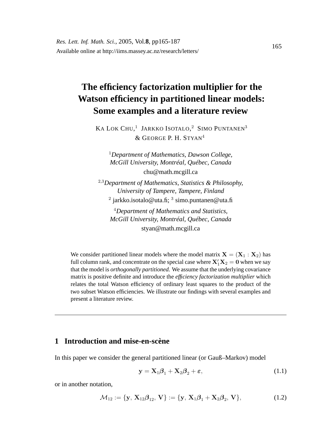# **The efficiency factorization multiplier for the Watson efficiency in partitioned linear models: Some examples and a literature review**

KA LOK CHU,<sup>1</sup> JARKKO ISOTALO,<sup>2</sup> SIMO PUNTANEN<sup>3</sup> & GEORGE P. H. STYAN<sup>4</sup>

<sup>1</sup>*Department of Mathematics, Dawson College, McGill University, Montréal, Québec, Canada* chu@math.mcgill.ca

<sup>2</sup>,<sup>3</sup>*Department of Mathematics, Statistics & Philosophy, University of Tampere, Tampere, Finland*  $^2$  jarkko.isotalo@uta.fi;  $^3$  simo.puntanen@uta.fi

<sup>4</sup>*Department of Mathematics and Statistics, McGill University, Montréal, Québec, Canada* styan@math.mcgill.ca

We consider partitioned linear models where the model matrix  $X = (X_1 : X_2)$  has full column rank, and concentrate on the special case where  $\mathbf{X}_1'\mathbf{X}_2 = \mathbf{0}$  when we say that the model is *orthogonally partitioned.* We assume that the underlying covariance matrix is positive definite and introduce the *efficiency factorization multiplier* which relates the total Watson efficiency of ordinary least squares to the product of the two subset Watson efficiencies. We illustrate our findings with several examples and present a literature review.

### **1 Introduction and mise-en-scène**

In this paper we consider the general partitioned linear (or Gauß–Markov) model

$$
\mathbf{y} = \mathbf{X}_1 \boldsymbol{\beta}_1 + \mathbf{X}_2 \boldsymbol{\beta}_2 + \boldsymbol{\varepsilon},\tag{1.1}
$$

or in another notation,

$$
\mathcal{M}_{12} := \{ \mathbf{y}, \, \mathbf{X}_{12} \boldsymbol{\beta}_{12}, \, \mathbf{V} \} := \{ \mathbf{y}, \, \mathbf{X}_1 \boldsymbol{\beta}_1 + \mathbf{X}_2 \boldsymbol{\beta}_2, \, \mathbf{V} \},\tag{1.2}
$$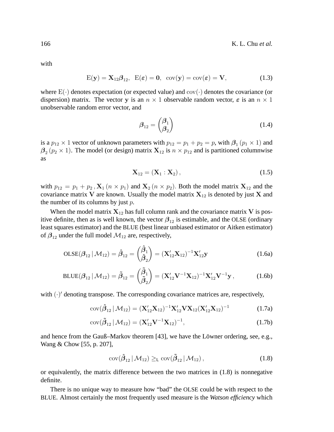with

$$
E(\mathbf{y}) = \mathbf{X}_{12} \boldsymbol{\beta}_{12}, \ \ E(\boldsymbol{\varepsilon}) = \mathbf{0}, \ \ \text{cov}(\mathbf{y}) = \text{cov}(\boldsymbol{\varepsilon}) = \mathbf{V}, \tag{1.3}
$$

where  $E(\cdot)$  denotes expectation (or expected value) and  $cov(\cdot)$  denotes the covariance (or dispersion) matrix. The vector y is an  $n \times 1$  observable random vector,  $\varepsilon$  is an  $n \times 1$ unobservable random error vector, and

$$
\beta_{12} = \begin{pmatrix} \beta_1 \\ \beta_2 \end{pmatrix} \tag{1.4}
$$

is a  $p_{12} \times 1$  vector of unknown parameters with  $p_{12} = p_1 + p_2 = p$ , with  $\beta_1$   $(p_1 \times 1)$  and  $\beta_2$  ( $p_2 \times 1$ ). The model (or design) matrix  $\mathbf{X}_{12}$  is  $n \times p_{12}$  and is partitioned columnwise as

$$
\mathbf{X}_{12} = (\mathbf{X}_1 : \mathbf{X}_2), \tag{1.5}
$$

with  $p_{12} = p_1 + p_2$ ,  $\mathbf{X}_1$  ( $n \times p_1$ ) and  $\mathbf{X}_2$  ( $n \times p_2$ ). Both the model matrix  $\mathbf{X}_{12}$  and the covariance matrix V are known. Usually the model matrix  $X_{12}$  is denoted by just X and the number of its columns by just  $p$ .

When the model matrix  $X_{12}$  has full column rank and the covariance matrix V is positive definite, then as is well known, the vector  $\beta_{12}$  is estimable, and the OLSE (ordinary least squares estimator) and the BLUE (best linear unbiased estimator or Aitken estimator) of  $\beta_{12}$  under the full model  $\mathcal{M}_{12}$  are, respectively,

$$
OLSE(\beta_{12} | \mathcal{M}_{12}) = \hat{\beta}_{12} = \begin{pmatrix} \hat{\beta}_1 \\ \hat{\beta}_2 \end{pmatrix} = (\mathbf{X}_{12}' \mathbf{X}_{12})^{-1} \mathbf{X}_{12}' \mathbf{y}
$$
(1.6a)

$$
BLUE(\beta_{12} | \mathcal{M}_{12}) = \tilde{\beta}_{12} = \begin{pmatrix} \tilde{\beta}_1 \\ \tilde{\beta}_2 \end{pmatrix} = (\mathbf{X}_{12}' \mathbf{V}^{-1} \mathbf{X}_{12})^{-1} \mathbf{X}_{12}' \mathbf{V}^{-1} \mathbf{y}, \quad (1.6b)
$$

with  $(\cdot)'$  denoting transpose. The corresponding covariance matrices are, respectively,

$$
cov(\hat{\boldsymbol{\beta}}_{12} | \mathcal{M}_{12}) = (\mathbf{X}_{12}' \mathbf{X}_{12})^{-1} \mathbf{X}_{12}' \mathbf{V} \mathbf{X}_{12} (\mathbf{X}_{12}' \mathbf{X}_{12})^{-1}
$$
(1.7a)

$$
cov(\tilde{\beta}_{12} | \mathcal{M}_{12}) = (\mathbf{X}_{12}' \mathbf{V}^{-1} \mathbf{X}_{12})^{-1},
$$
\n(1.7b)

and hence from the Gauß–Markov theorem [43], we have the Löwner ordering, see, e.g., Wang & Chow [55, p. 207],

$$
cov(\hat{\beta}_{12} | \mathcal{M}_{12}) \geq_{\mathsf{L}} cov(\tilde{\beta}_{12} | \mathcal{M}_{12}), \qquad (1.8)
$$

or equivalently, the matrix difference between the two matrices in (1.8) is nonnegative definite.

There is no unique way to measure how "bad" the OLSE could be with respect to the BLUE. Almost certainly the most frequently used measure is the *Watson efficiency* which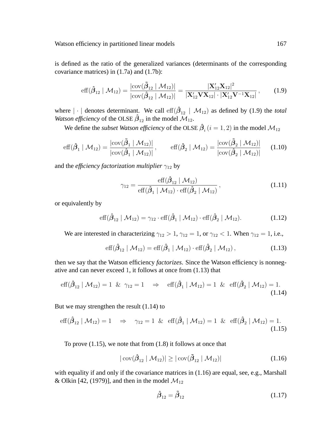is defined as the ratio of the generalized variances (determinants of the corresponding covariance matrices) in (1.7a) and (1.7b):

$$
\text{eff}(\hat{\beta}_{12} | \mathcal{M}_{12}) = \frac{|\text{cov}(\tilde{\beta}_{12} | \mathcal{M}_{12})|}{|\text{cov}(\hat{\beta}_{12} | \mathcal{M}_{12})|} = \frac{|\mathbf{X}_{12}' \mathbf{X}_{12}|^2}{|\mathbf{X}_{12}' \mathbf{V} \mathbf{X}_{12}| \cdot |\mathbf{X}_{12}' \mathbf{V}^{-1} \mathbf{X}_{12}|},
$$
(1.9)

where  $|\cdot|$  denotes determinant. We call  $\text{eff}(\hat{\beta}_{12} | \mathcal{M}_{12})$  as defined by (1.9) the *total Watson efficiency* of the OLSE  $\hat{\beta}_{12}$  in the model  $\overline{\mathcal{M}}_{12}$ .

We define the *subset Watson efficiency* of the OLSE  $\hat{\beta}_i$   $(i = 1, 2)$  in the model  $\mathcal{M}_{12}$ 

$$
\text{eff}(\hat{\beta}_1 \mid \mathcal{M}_{12}) = \frac{|\text{cov}(\tilde{\beta}_1 \mid \mathcal{M}_{12})|}{|\text{cov}(\hat{\beta}_1 \mid \mathcal{M}_{12})|}, \qquad \text{eff}(\hat{\beta}_2 \mid \mathcal{M}_{12}) = \frac{|\text{cov}(\tilde{\beta}_2 \mid \mathcal{M}_{12})|}{|\text{cov}(\hat{\beta}_2 \mid \mathcal{M}_{12})|} \qquad (1.10)
$$

and the *efficiency factorization multiplier*  $\gamma_{12}$  by

$$
\gamma_{12} = \frac{\text{eff}(\hat{\beta}_{12} \mid \mathcal{M}_{12})}{\text{eff}(\hat{\beta}_{1} \mid \mathcal{M}_{12}) \cdot \text{eff}(\hat{\beta}_{2} \mid \mathcal{M}_{12})},
$$
(1.11)

or equivalently by

$$
\text{eff}(\hat{\beta}_{12} | \mathcal{M}_{12}) = \gamma_{12} \cdot \text{eff}(\hat{\beta}_1 | \mathcal{M}_{12}) \cdot \text{eff}(\hat{\beta}_2 | \mathcal{M}_{12}). \tag{1.12}
$$

We are interested in characterizing  $\gamma_{12} > 1$ ,  $\gamma_{12} = 1$ , or  $\gamma_{12} < 1$ . When  $\gamma_{12} = 1$ , i.e.,

eff
$$
(\hat{\beta}_{12} | \mathcal{M}_{12}) = \text{eff}(\hat{\beta}_1 | \mathcal{M}_{12}) \cdot \text{eff}(\hat{\beta}_2 | \mathcal{M}_{12}),
$$
 (1.13)

then we say that the Watson efficiency *factorizes*. Since the Watson efficiency is nonnegative and can never exceed 1, it follows at once from (1.13) that

$$
\text{eff}(\hat{\beta}_{12} \mid \mathcal{M}_{12}) = 1 \quad \& \quad \gamma_{12} = 1 \quad \Rightarrow \quad \text{eff}(\hat{\beta}_1 \mid \mathcal{M}_{12}) = 1 \quad \& \quad \text{eff}(\hat{\beta}_2 \mid \mathcal{M}_{12}) = 1. \tag{1.14}
$$

But we may strengthen the result (1.14) to

$$
\text{eff}(\hat{\beta}_{12} \mid \mathcal{M}_{12}) = 1 \quad \Rightarrow \quad \gamma_{12} = 1 \quad \& \quad \text{eff}(\hat{\beta}_1 \mid \mathcal{M}_{12}) = 1 \quad \& \quad \text{eff}(\hat{\beta}_2 \mid \mathcal{M}_{12}) = 1. \tag{1.15}
$$

To prove (1.15), we note that from (1.8) it follows at once that

$$
|\operatorname{cov}(\hat{\beta}_{12} \mid \mathcal{M}_{12})| \ge |\operatorname{cov}(\tilde{\beta}_{12} \mid \mathcal{M}_{12})|
$$
\n(1.16)

with equality if and only if the covariance matrices in  $(1.16)$  are equal, see, e.g., Marshall & Olkin [42, (1979)], and then in the model  $\mathcal{M}_{12}$ 

$$
\hat{\beta}_{12} = \tilde{\beta}_{12} \tag{1.17}
$$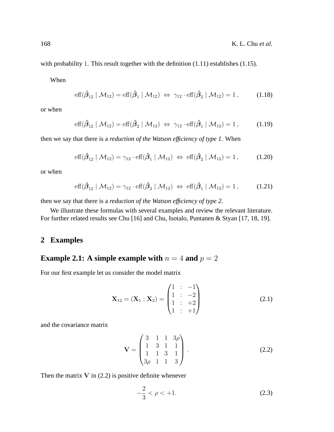with probability 1. This result together with the definition (1.11) establishes (1.15).

When

$$
\text{eff}(\hat{\beta}_{12} \mid \mathcal{M}_{12}) = \text{eff}(\hat{\beta}_1 \mid \mathcal{M}_{12}) \iff \gamma_{12} \cdot \text{eff}(\hat{\beta}_2 \mid \mathcal{M}_{12}) = 1, \quad (1.18)
$$

or when

$$
\text{eff}(\hat{\beta}_{12} \mid \mathcal{M}_{12}) = \text{eff}(\hat{\beta}_2 \mid \mathcal{M}_{12}) \iff \gamma_{12} \cdot \text{eff}(\hat{\beta}_1 \mid \mathcal{M}_{12}) = 1, \quad (1.19)
$$

then we say that there is a *reduction of the Watson efficiency of type 1*. When

$$
\text{eff}(\hat{\beta}_{12} \mid \mathcal{M}_{12}) = \gamma_{12} \cdot \text{eff}(\hat{\beta}_1 \mid \mathcal{M}_{12}) \iff \text{eff}(\hat{\beta}_2 \mid \mathcal{M}_{12}) = 1, \quad (1.20)
$$

or when

$$
\text{eff}(\hat{\beta}_{12} \mid \mathcal{M}_{12}) = \gamma_{12} \cdot \text{eff}(\hat{\beta}_2 \mid \mathcal{M}_{12}) \iff \text{eff}(\hat{\beta}_1 \mid \mathcal{M}_{12}) = 1, \quad (1.21)
$$

then we say that there is a *reduction of the Watson efficiency of type 2*.

We illustrate these formulas with several examples and review the relevant literature. For further related results see Chu [16] and Chu, Isotalo, Puntanen & Styan [17, 18, 19].

# **2 Examples**

# **Example 2.1:** A simple example with  $n = 4$  and  $p = 2$

For our first example let us consider the model matrix

$$
\mathbf{X}_{12} = (\mathbf{X}_1 : \mathbf{X}_2) = \begin{pmatrix} 1 & : & -1 \\ 1 & : & -2 \\ 1 & : & +2 \\ 1 & : & +1 \end{pmatrix} \tag{2.1}
$$

and the covariance matrix

$$
\mathbf{V} = \begin{pmatrix} 3 & 1 & 1 & 3\rho \\ 1 & 3 & 1 & 1 \\ 1 & 1 & 3 & 1 \\ 3\rho & 1 & 1 & 3 \end{pmatrix} .
$$
 (2.2)

Then the matrix  $V$  in (2.2) is positive definite whenever

$$
-\frac{2}{3} < \rho < +1. \tag{2.3}
$$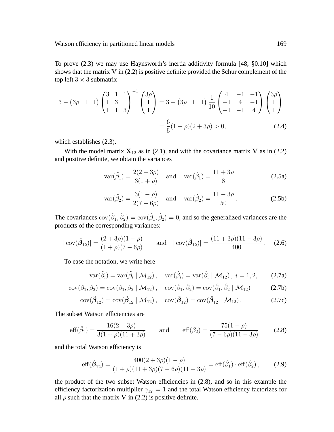To prove (2.3) we may use Haynsworth's inertia additivity formula [48, §0.10] which shows that the matrix  $V$  in (2.2) is positive definite provided the Schur complement of the top left  $3 \times 3$  submatrix

$$
3 - (3\rho \quad 1 \quad 1) \begin{pmatrix} 3 & 1 & 1 \\ 1 & 3 & 1 \\ 1 & 1 & 3 \end{pmatrix}^{-1} \begin{pmatrix} 3\rho \\ 1 \\ 1 \end{pmatrix} = 3 - (3\rho \quad 1 \quad 1) \frac{1}{10} \begin{pmatrix} 4 & -1 & -1 \\ -1 & 4 & -1 \\ -1 & -1 & 4 \end{pmatrix} \begin{pmatrix} 3\rho \\ 1 \\ 1 \end{pmatrix}
$$

$$
= \frac{6}{5}(1 - \rho)(2 + 3\rho) > 0,
$$
(2.4)

which establishes (2.3).

With the model matrix  $X_{12}$  as in (2.1), and with the covariance matrix V as in (2.2) and positive definite, we obtain the variances

$$
var(\tilde{\beta}_1) = \frac{2(2+3\rho)}{3(1+\rho)} \quad \text{and} \quad var(\hat{\beta}_1) = \frac{11+3\rho}{8}
$$
 (2.5a)

$$
\text{var}(\tilde{\beta}_2) = \frac{3(1-\rho)}{2(7-6\rho)} \quad \text{and} \quad \text{var}(\hat{\beta}_2) = \frac{11-3\rho}{50} \,. \tag{2.5b}
$$

The covariances  $cov(\tilde{\beta}_1, \tilde{\beta}_2) = cov(\hat{\beta}_1, \hat{\beta}_2) = 0$ , and so the generalized variances are the products of the corresponding variances:

$$
|\operatorname{cov}(\tilde{\boldsymbol{\beta}}_{12})| = \frac{(2+3\rho)(1-\rho)}{(1+\rho)(7-6\rho)} \quad \text{and} \quad |\operatorname{cov}(\hat{\boldsymbol{\beta}}_{12})| = \frac{(11+3\rho)(11-3\rho)}{400}.
$$
 (2.6)

To ease the notation, we write here

$$
\text{var}(\tilde{\beta}_i) = \text{var}(\tilde{\beta}_i \mid \mathcal{M}_{12}), \quad \text{var}(\hat{\beta}_i) = \text{var}(\hat{\beta}_i \mid \mathcal{M}_{12}), \quad i = 1, 2, \tag{2.7a}
$$

$$
cov(\tilde{\beta}_1, \tilde{\beta}_2) = cov(\tilde{\beta}_1, \tilde{\beta}_2 | \mathcal{M}_{12}), cov(\hat{\beta}_1, \hat{\beta}_2) = cov(\hat{\beta}_1, \hat{\beta}_2 | \mathcal{M}_{12})
$$
(2.7b)

$$
cov(\tilde{\boldsymbol{\beta}}_{12}) = cov(\tilde{\boldsymbol{\beta}}_{12} | \mathcal{M}_{12}), cov(\hat{\boldsymbol{\beta}}_{12}) = cov(\hat{\boldsymbol{\beta}}_{12} | \mathcal{M}_{12}).
$$
\n(2.7c)

The subset Watson efficiencies are

$$
\text{eff}(\hat{\beta}_1) = \frac{16(2+3\rho)}{3(1+\rho)(11+3\rho)} \quad \text{and} \quad \text{eff}(\hat{\beta}_2) = \frac{75(1-\rho)}{(7-6\rho)(11-3\rho)} \quad (2.8)
$$

and the total Watson efficiency is

$$
\text{eff}(\hat{\beta}_{12}) = \frac{400(2+3\rho)(1-\rho)}{(1+\rho)(11+3\rho)(7-6\rho)(11-3\rho)} = \text{eff}(\hat{\beta}_1) \cdot \text{eff}(\hat{\beta}_2),\tag{2.9}
$$

the product of the two subset Watson efficiencies in (2.8), and so in this example the efficiency factorization multiplier  $\gamma_{12} = 1$  and the total Watson efficiency factorizes for all  $\rho$  such that the matrix V in (2.2) is positive definite.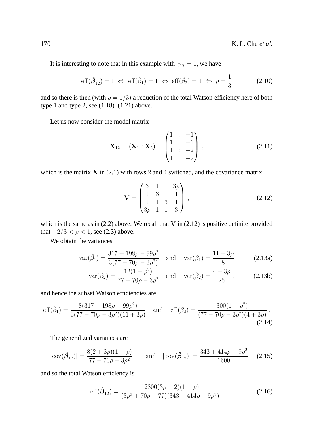It is interesting to note that in this example with  $\gamma_{12} = 1$ , we have

$$
\text{eff}(\hat{\beta}_{12}) = 1 \iff \text{eff}(\hat{\beta}_1) = 1 \iff \text{eff}(\hat{\beta}_2) = 1 \iff \rho = \frac{1}{3}
$$
 (2.10)

and so there is then (with  $\rho = 1/3$ ) a reduction of the total Watson efficiency here of both type 1 and type 2, see  $(1.18)$ – $(1.21)$  above.

Let us now consider the model matrix

$$
\mathbf{X}_{12} = (\mathbf{X}_1 : \mathbf{X}_2) = \begin{pmatrix} 1 & : & -1 \\ 1 & : & +1 \\ 1 & : & +2 \\ 1 & : & -2 \end{pmatrix},\tag{2.11}
$$

which is the matrix  $X$  in (2.1) with rows 2 and 4 switched, and the covariance matrix

$$
\mathbf{V} = \begin{pmatrix} 3 & 1 & 1 & 3\rho \\ 1 & 3 & 1 & 1 \\ 1 & 1 & 3 & 1 \\ 3\rho & 1 & 1 & 3 \end{pmatrix},
$$
(2.12)

which is the same as in  $(2.2)$  above. We recall that V in  $(2.12)$  is positive definite provided that  $-2/3 < \rho < 1$ , see (2.3) above.

We obtain the variances

$$
\text{var}(\tilde{\beta}_1) = \frac{317 - 198\rho - 99\rho^2}{3(77 - 70\rho - 3\rho^2)} \quad \text{and} \quad \text{var}(\hat{\beta}_1) = \frac{11 + 3\rho}{8} \tag{2.13a}
$$

$$
\text{var}(\tilde{\beta}_2) = \frac{12(1 - \rho^2)}{77 - 70\rho - 3\rho^2} \quad \text{and} \quad \text{var}(\hat{\beta}_2) = \frac{4 + 3\rho}{25}, \quad (2.13b)
$$

and hence the subset Watson efficiencies are

$$
\text{eff}(\hat{\beta}_1) = \frac{8(317 - 198\rho - 99\rho^2)}{3(77 - 70\rho - 3\rho^2)(11 + 3\rho)} \quad \text{and} \quad \text{eff}(\hat{\beta}_2) = \frac{300(1 - \rho^2)}{(77 - 70\rho - 3\rho^2)(4 + 3\rho)}.
$$
\n(2.14)

The generalized variances are

$$
|\operatorname{cov}(\tilde{\beta}_{12})| = \frac{8(2+3\rho)(1-\rho)}{77-70\rho - 3\rho^2} \quad \text{and} \quad |\operatorname{cov}(\hat{\beta}_{12})| = \frac{343+414\rho - 9\rho^2}{1600} \quad (2.15)
$$

and so the total Watson efficiency is

$$
eff(\hat{\beta}_{12}) = \frac{12800(3\rho + 2)(1 - \rho)}{(3\rho^2 + 70\rho - 77)(343 + 414\rho - 9\rho^2)}.
$$
\n(2.16)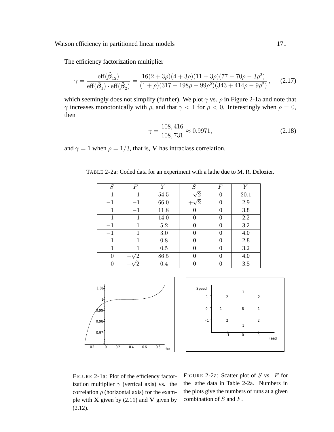Watson efficiency in partitioned linear models 171

The efficiency factorization multiplier

$$
\gamma = \frac{\text{eff}(\hat{\beta}_{12})}{\text{eff}(\hat{\beta}_1) \cdot \text{eff}(\hat{\beta}_2)} = \frac{16(2+3\rho)(4+3\rho)(11+3\rho)(77-70\rho-3\rho^2)}{(1+\rho)(317-198\rho-99\rho^2)(343+414\rho-9\rho^2)},\tag{2.17}
$$

which seemingly does not simplify (further). We plot  $\gamma$  vs.  $\rho$  in Figure 2-1a and note that  $γ$  increases monotonically with  $ρ$ , and that  $γ < 1$  for  $ρ < 0$ . Interestingly when  $ρ = 0$ , then

$$
\gamma = \frac{108,416}{108,731} \approx 0.9971,\tag{2.18}
$$

and  $\gamma = 1$  when  $\rho = 1/3$ , that is, V has intraclass correlation.

| S    | F    | Y       | $\cal S$ | F        | V    |
|------|------|---------|----------|----------|------|
| $-1$ | $-1$ | 54.5    | ้ว       | 0        | 20.1 |
| $-1$ | $-1$ | 66.0    |          | 0        | 2.9  |
| 1    | $-1$ | 11.8    |          | 0        | 3.8  |
|      | $-1$ | 14.0    | 0        | $\Omega$ | 2.2  |
| $-1$ | 1    | $5.2\,$ | 0        | 0        | 3.2  |
| $-1$ | 1    | 3.0     | 0        | 0        | 4.0  |
| 1    |      | 0.8     | ∩        | 0        | 2.8  |
| 1    | 1    | 0.5     | 0        | 0        | 3.2  |
| 0    | 2    | 86.5    |          | 0        | 4.0  |
| 0    |      | 0.4     |          | 0        | 3.5  |

TABLE 2-2a: Coded data for an experiment with a lathe due to M. R. Delozier.





FIGURE 2-1a: Plot of the efficiency factorization multiplier  $\gamma$  (vertical axis) vs. the correlation  $\rho$  (horizontal axis) for the example with  $X$  given by (2.11) and  $V$  given by (2.12).

FIGURE 2-2a: Scatter plot of  $S$  vs.  $F$  for the lathe data in Table 2-2a. Numbers in the plots give the numbers of runs at a given combination of S and F.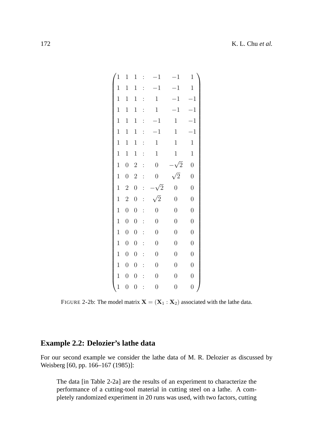| $\mathbf{1}$ | $\mathbf 1$      | $\mathbf 1$      | $\ddot{\cdot}$ | $^{-1}$          | $-1$             | $\mathbf 1$    |
|--------------|------------------|------------------|----------------|------------------|------------------|----------------|
| $\mathbf 1$  | $\mathbf 1$      | $\mathbf{1}$     |                | $-1$             | $-1$             | $\mathbf 1$    |
| $\mathbf{1}$ | $\mathbf 1$      | $\mathbf{1}$     | $\ddot{\cdot}$ | $\mathbf{1}$     | $-1$             | $-1$           |
| $\mathbf{1}$ | $\mathbf 1$      | $\mathbf{1}$     | $\vdots$       | $\mathbf{1}$     | $-1$             | $-1$           |
| $\mathbf 1$  | $\mathbf 1$      | $\,1$            | $\vdots$       | $^{-1}$          | $\mathbf{1}$     | $-1$           |
| $\mathbf{1}$ | $\mathbf 1$      | $\mathbf 1$      | $\vdots$       | $-1$             | $\mathbf{1}$     | $-1$           |
| $\mathbf 1$  | $\mathbf 1$      | $\mathbf 1$      | $\vdots$       | $\mathbf{1}$     | $\,1$            | $\mathbf{1}$   |
| $\mathbf{1}$ | $\mathbf{1}$     | $\mathbf{1}$     | $\vdots$       | $\,1$            | $\mathbf 1$      | $\mathbf{1}$   |
| $\mathbf{1}$ | $\boldsymbol{0}$ | $\overline{2}$   | $\vdots$       | $\boldsymbol{0}$ | $\sqrt{2}$       | $\overline{0}$ |
| $\mathbf{1}$ | $\boldsymbol{0}$ | $\overline{2}$   |                | $\boldsymbol{0}$ | $\sqrt{2}$       | $\overline{0}$ |
|              |                  |                  |                |                  |                  |                |
| $\mathbf{1}$ | $\overline{2}$   | $\boldsymbol{0}$ | $\vdots$       | $\sqrt{2}$       | $\overline{0}$   | $\overline{0}$ |
| $\mathbf{1}$ | $\overline{2}$   | $\boldsymbol{0}$ | $\ddot{\cdot}$ | $\sqrt{2}$       | $\overline{0}$   | $\overline{0}$ |
| $\mathbf{1}$ | $\boldsymbol{0}$ | $\boldsymbol{0}$ | $\vdots$       | $\overline{0}$   | $\overline{0}$   | $\overline{0}$ |
| $\mathbf{1}$ | $\boldsymbol{0}$ | $\boldsymbol{0}$ | $\vdots$       | $\overline{0}$   | $\overline{0}$   | $\overline{0}$ |
| $\mathbf{1}$ | $\overline{0}$   | $\boldsymbol{0}$ | $\vdots$       | $\overline{0}$   | $\overline{0}$   | $\overline{0}$ |
| $\mathbf{1}$ | $\boldsymbol{0}$ | $\boldsymbol{0}$ | $\vdots$       | $\boldsymbol{0}$ | $\overline{0}$   | $\overline{0}$ |
| $\mathbf{1}$ | $\boldsymbol{0}$ | $\boldsymbol{0}$ | $\vdots$       | $\boldsymbol{0}$ | $\overline{0}$   | $\overline{0}$ |
| $\mathbf{1}$ | $\boldsymbol{0}$ | $\boldsymbol{0}$ | $\vdots$       | $\boldsymbol{0}$ | $\boldsymbol{0}$ | $\overline{0}$ |
| $\mathbf 1$  | $\overline{0}$   | $\overline{0}$   |                | $\overline{0}$   | $\overline{0}$   | $\overline{0}$ |

FIGURE 2-2b: The model matrix  $X = (X_1 : X_2)$  associated with the lathe data.

# **Example 2.2: Delozier's lathe data**

For our second example we consider the lathe data of M. R. Delozier as discussed by Weisberg [60, pp. 166–167 (1985)]:

The data [in Table 2-2a] are the results of an experiment to characterize the performance of a cutting-tool material in cutting steel on a lathe. A completely randomized experiment in 20 runs was used, with two factors, cutting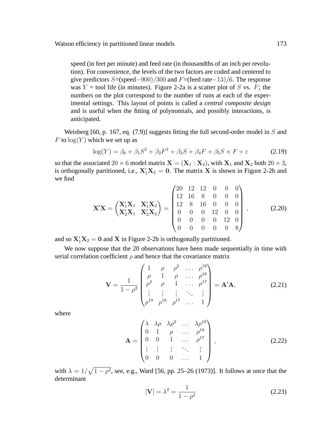speed (in feet per minute) and feed rate (in thousandths of an inch per revolution). For convenience, the levels of the two factors are coded and centered to give predictors  $S=(\text{speed}-900)/300$  and  $F=(\text{feed rate}-13)/6$ . The response was  $Y =$  tool life (in minutes). Figure 2-2a is a scatter plot of S vs. F; the numbers on the plot correspond to the number of runs at each of the experimental settings. This layout of points is called a *central composite design* and is useful when the fitting of polynomials, and possibly interactions, is anticipated.

Weisberg [60, p. 167, eq.  $(7.9)$ ] suggests fitting the full second-order model in S and F to  $log(Y)$  which we set up as

$$
\log(Y) = \beta_0 + \beta_1 S^2 + \beta_2 F^2 + \beta_3 S + \beta_4 F + \beta_5 S \times F + \varepsilon
$$
 (2.19)

so that the associated 20  $\times$  6 model matrix  $X = (X_1 : X_2)$ , with  $X_1$  and  $X_2$  both 20  $\times$  3, is orthogonally partitioned, i.e.,  $X_1'X_2 = 0$ . The matrix X is shown in Figure 2-2b and we find

$$
\mathbf{X}'\mathbf{X} = \begin{pmatrix} \mathbf{X}'_1 \mathbf{X}_1 & \mathbf{X}'_1 \mathbf{X}_2 \\ \mathbf{X}'_2 \mathbf{X}_1 & \mathbf{X}'_2 \mathbf{X}_2 \end{pmatrix} = \begin{pmatrix} 20 & 12 & 12 & 0 & 0 & 0 \\ 12 & 16 & 8 & 0 & 0 & 0 \\ 12 & 8 & 16 & 0 & 0 & 0 \\ 0 & 0 & 0 & 12 & 0 & 0 \\ 0 & 0 & 0 & 0 & 12 & 0 \\ 0 & 0 & 0 & 0 & 0 & 8 \end{pmatrix},
$$
(2.20)

and so  $X_1'X_2 = 0$  and X in Figure 2-2b is orthogonally partitioned.

We now suppose that the 20 observations have been made sequentially in time with serial correlation coefficient  $\rho$  and hence that the covariance matrix

$$
\mathbf{V} = \frac{1}{1 - \rho^2} \begin{pmatrix} 1 & \rho & \rho^2 & \dots & \rho^{19} \\ \rho & 1 & \rho & \dots & \rho^{18} \\ \rho^2 & \rho & 1 & \dots & \rho^{17} \\ \vdots & \vdots & \vdots & \ddots & \vdots \\ \rho^{19} & \rho^{18} & \rho^{17} & \dots & 1 \end{pmatrix} = \mathbf{A}'\mathbf{A},
$$
 (2.21)

where

$$
\mathbf{A} = \begin{pmatrix} \lambda & \lambda \rho & \lambda \rho^2 & \dots & \lambda \rho^{19} \\ 0 & 1 & \rho & \dots & \rho^{18} \\ 0 & 0 & 1 & \dots & \rho^{17} \\ \vdots & \vdots & \vdots & \ddots & \vdots \\ 0 & 0 & 0 & \dots & 1 \end{pmatrix},
$$
(2.22)

with  $\lambda = 1/\sqrt{1 - \rho^2}$ , see, e.g., Ward [56, pp. 25–26 (1973)]. It follows at once that the determinant

$$
|\mathbf{V}| = \lambda^2 = \frac{1}{1 - \rho^2}
$$
 (2.23)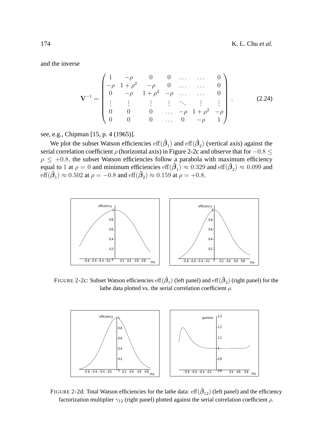and the inverse

$$
\mathbf{V}^{-1} = \begin{pmatrix} 1 & -\rho & 0 & 0 & \dots & \dots & 0 \\ -\rho & 1 + \rho^2 & -\rho & 0 & \dots & \dots & 0 \\ 0 & -\rho & 1 + \rho^2 & -\rho & \dots & \dots & 0 \\ \vdots & \vdots & \vdots & \vdots & \ddots & \vdots & \vdots \\ 0 & 0 & 0 & \dots & -\rho & 1 + \rho^2 & -\rho \\ 0 & 0 & 0 & \dots & 0 & -\rho & 1 \end{pmatrix}, \quad (2.24)
$$

see, e.g., Chipman [15, p. 4 (1965)].

We plot the subset Watson efficiencies  $\mathrm{eff}(\hat{\beta}_1)$  and  $\mathrm{eff}(\hat{\beta}_2)$  (vertical axis) against the serial correlation coefficient  $\rho$  (horizontal axis) in Figure 2-2c and observe that for  $-0.8 \le$  $\rho \leq +0.8$ , the subset Watson efficiencies follow a parabola with maximum efficiency equal to 1 at  $\rho = 0$  and minimum efficiencies  $\text{eff}(\hat{\beta}_1) \approx 0.329$  and  $\text{eff}(\hat{\beta}_2) \approx 0.099$  and  $\text{eff}(\hat{\beta}_1) \approx 0.502$  at  $\rho = -0.8$  and  $\text{eff}(\hat{\beta}_2) \approx 0.159$  at  $\rho = +0.8$ .



FIGURE 2-2c: Subset Watson efficiencies  ${\rm eff}(\hat{\boldsymbol{\beta}}_1)$  (left panel) and  ${\rm eff}(\hat{\boldsymbol{\beta}}_2)$  (right panel) for the lathe data plotted vs. the serial correlation coefficient  $\rho$ .



FIGURE 2-2d: Total Watson efficiencies for the lathe data:  $\mathrm{eff}(\hat{\beta}_{12})$  (left panel) and the efficiency factorization multiplier  $\gamma_{12}$  (right panel) plotted against the serial correlation coefficient  $\rho$ .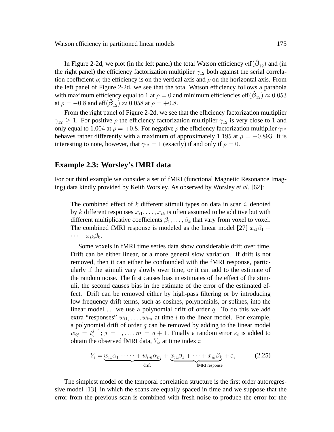Watson efficiency in partitioned linear models 175

In Figure 2-2d, we plot (in the left panel) the total Watson efficiency  $\mathrm{eff}(\hat{\boldsymbol{\beta}}_{12})$  and (in the right panel) the efficiency factorization multiplier  $\gamma_{12}$  both against the serial correlation coefficient  $\rho$ ; the efficiency is on the vertical axis and  $\rho$  on the horizontal axis. From the left panel of Figure 2-2d, we see that the total Watson efficiency follows a parabola with maximum efficiency equal to 1 at  $\rho = 0$  and minimum efficiencies  $\text{eff}(\hat{\beta}_{12}) \approx 0.053$ at  $\rho = -0.8$  and  $\text{eff}(\hat{\beta}_{12}) \approx 0.058$  at  $\rho = +0.8$ .

From the right panel of Figure 2-2d, we see that the efficiency factorization multiplier  $\gamma_{12} \geq 1$ . For positive  $\rho$  the efficiency factorization multiplier  $\gamma_{12}$  is very close to 1 and only equal to 1.004 at  $\rho = +0.8$ . For negative  $\rho$  the efficiency factorization multiplier  $\gamma_{12}$ behaves rather differently with a maximum of approximately 1.195 at  $\rho = -0.893$ . It is interesting to note, however, that  $\gamma_{12} = 1$  (exactly) if and only if  $\rho = 0$ .

#### **Example 2.3: Worsley's fMRI data**

For our third example we consider a set of fMRI (functional Magnetic Resonance Imaging) data kindly provided by Keith Worsley. As observed by Worsley *et al.* [62]:

The combined effect of  $k$  different stimuli types on data in scan  $i$ , denoted by k different responses  $x_{i1}, \ldots, x_{ik}$  is often assumed to be additive but with different multiplicative coefficients  $\beta_1, \ldots, \beta_k$  that vary from voxel to voxel. The combined fMRI response is modeled as the linear model [27]  $x_{i1}\beta_1$  +  $\cdots + x_{ik}\beta_k$ .

Some voxels in fMRI time series data show considerable drift over time. Drift can be either linear, or a more general slow variation. If drift is not removed, then it can either be confounded with the fMRI response, particularly if the stimuli vary slowly over time, or it can add to the estimate of the random noise. The first causes bias in estimates of the effect of the stimuli, the second causes bias in the estimate of the error of the estimated effect. Drift can be removed either by high-pass filtering or by introducing low frequency drift terms, such as cosines, polynomials, or splines, into the linear model ... we use a polynomial drift of order  $q$ . To do this we add extra "responses"  $w_{i1}, \ldots, w_{im}$  at time i to the linear model. For example, a polynomial drift of order  $q$  can be removed by adding to the linear model  $w_{ij} = t_i^{j-1}$  $i^{j-1}$ ;  $j = 1, \ldots, m = q + 1$ . Finally a random error  $\varepsilon_i$  is added to obtain the observed fMRI data,  $Y_i$ , at time index *i*:

$$
Y_i = \underbrace{w_{i1}\alpha_1 + \dots + w_{im}\alpha_m}_{\text{drift}} + \underbrace{x_{i1}\beta_1 + \dots + x_{ik}\beta_k}_{\text{fMRI response}} + \varepsilon_i
$$
 (2.25)

The simplest model of the temporal correlation structure is the first order autoregressive model [13], in which the scans are equally spaced in time and we suppose that the error from the previous scan is combined with fresh noise to produce the error for the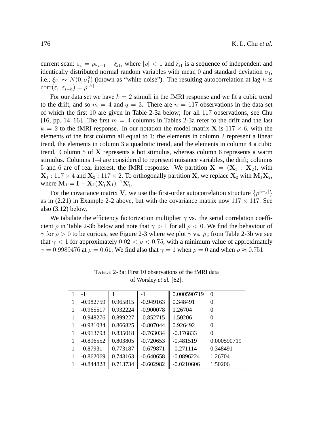current scan:  $\varepsilon_i = \rho \varepsilon_{i-1} + \xi_{i1}$ , where  $|\rho| < 1$  and  $\xi_{i1}$  is a sequence of independent and identically distributed normal random variables with mean 0 and standard deviation  $\sigma_1$ , i.e.,  $\xi_{i1} \sim N(0, \sigma_1^2)$  (known as "white noise"). The resulting autocorrelation at lag h is  $\text{corr}(\varepsilon_i, \varepsilon_{i-h}) = \rho^{|h|}.$ 

For our data set we have  $k = 2$  stimuli in the fMRI response and we fit a cubic trend to the drift, and so  $m = 4$  and  $q = 3$ . There are  $n = 117$  observations in the data set of which the first 10 are given in Table 2-3a below; for all 117 observations, see Chu [16, pp. 14–16]. The first  $m = 4$  columns in Tables 2-3a refer to the drift and the last  $k = 2$  to the fMRI response. In our notation the model matrix **X** is 117  $\times$  6, with the elements of the first column all equal to 1; the elements in column 2 represent a linear trend, the elements in column 3 a quadratic trend, and the elements in column 4 a cubic trend. Column 5 of X represents a hot stimulus, whereas column 6 represents a warm stimulus. Columns 1–4 are considered to represent nuisance variables, the drift; columns 5 and 6 are of real interest, the fMRI response. We partition  $X = (X_1 : X_2)$ , with  $X_1$ : 117 × 4 and  $X_2$ : 117 × 2. To orthogonally partition X, we replace  $X_2$  with  $M_1X_2$ , where  $M_1 = I - X_1(X_1'X_1)^{-1}X_1'.$ 

For the covariance matrix V, we use the first-order autocorrelation structure  $\{\rho^{|i-j|}\}$ as in (2.21) in Example 2-2 above, but with the covariance matrix now  $117 \times 117$ . See also  $(3.12)$  below.

We tabulate the efficiency factorization multiplier  $\gamma$  vs. the serial correlation coefficient  $\rho$  in Table 2-3b below and note that  $\gamma > 1$  for all  $\rho < 0$ . We find the behaviour of  $γ$  for  $ρ > 0$  to be curious, see Figure 2-3 where we plot  $γ$  vs.  $ρ$ ; from Table 2-3b we see that  $\gamma$  < 1 for approximately 0.02 <  $\rho$  < 0.75, with a minimum value of approximately  $\gamma = 0.9989476$  at  $\rho = 0.61$ . We find also that  $\gamma = 1$  when  $\rho = 0$  and when  $\rho \approx 0.751$ .

| $-1$        |          | -1          | 0.000590719  | $\Omega$    |
|-------------|----------|-------------|--------------|-------------|
| $-0.982759$ | 0.965815 | $-0.949163$ | 0.348491     | $\Omega$    |
| $-0.965517$ | 0.932224 | $-0.900078$ | 1.26704      | 0           |
| $-0.948276$ | 0.899227 | $-0.852715$ | 1.50206      | 0           |
| $-0.931034$ | 0.866825 | $-0.807044$ | 0.926492     | 0           |
| $-0.913793$ | 0.835018 | $-0.763034$ | $-0.176833$  | 0           |
| $-0.896552$ | 0.803805 | $-0.720653$ | $-0.481519$  | 0.000590719 |
| $-0.87931$  | 0.773187 | $-0.679871$ | $-0.271114$  | 0.348491    |
| $-0.862069$ | 0.743163 | $-0.640658$ | $-0.0896224$ | 1.26704     |
| $-0.844828$ | 0.713734 | $-0.602982$ | $-0.0210606$ | 1.50206     |

TABLE 2-3a: First 10 observations of the fMRI data of Worsley *et al.* [62].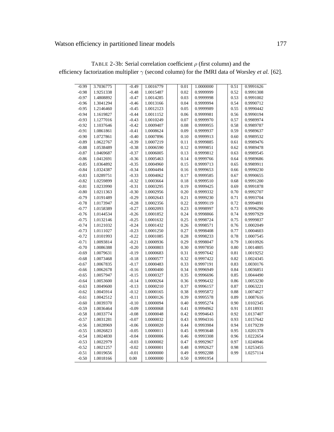# Watson efficiency in partitioned linear models 177

| $-0.99$ | 3.7036775 | $-0.49$ | 1.0016779 | 0.01 | 1.0000000 | 0.51 | 0.9991626 |
|---------|-----------|---------|-----------|------|-----------|------|-----------|
| $-0.98$ | 1.9251338 | $-0.48$ | 1.0015487 | 0.02 | 0.9999999 | 0.52 | 0.9991308 |
| $-0.97$ | 1.4808892 | $-0.47$ | 1.0014285 | 0.03 | 0.9999998 | 0.53 | 0.9991002 |
| $-0.96$ | 1.3041294 | $-0.46$ | 1.0013166 | 0.04 | 0.9999994 | 0.54 | 0.9990712 |
| $-0.95$ | 1.2146460 | $-0.45$ | 1.0012123 | 0.05 | 0.9999989 | 0.55 | 0.9990442 |
| $-0.94$ | 1.1619827 | $-0.44$ | 1.0011152 | 0.06 | 0.9999981 | 0.56 | 0.9990194 |
| $-0.93$ | 1.1277016 | $-0.43$ | 1.0010249 | 0.07 | 0.9999970 | 0.57 | 0.9989974 |
| $-0.92$ | 1.1037646 | $-0.42$ | 1.0009407 | 0.08 | 0.9999955 | 0.58 | 0.9989787 |
| $-0.91$ | 1.0861861 | $-0.41$ | 1.0008624 | 0.09 | 0.9999937 | 0.59 | 0.9989637 |
| $-0.90$ | 1.0727861 | $-0.40$ | 1.0007896 | 0.10 | 0.9999913 | 0.60 | 0.9989532 |
| $-0.89$ | 1.0622767 | $-0.39$ | 1.0007219 | 0.11 | 0.9999885 | 0.61 | 0.9989476 |
| $-0.88$ | 1.0538489 | $-0.38$ | 1.0006590 | 0.12 | 0.9999851 | 0.62 | 0.9989478 |
| $-0.87$ | 1.0469687 | $-0.37$ | 1.0006005 | 0.13 | 0.9999812 | 0.63 | 0.9989545 |
| $-0.86$ | 1.0412691 | $-0.36$ | 1.0005463 | 0.14 | 0.9999766 | 0.64 | 0.9989686 |
| $-0.85$ | 1.0364892 | $-0.35$ | 1.0004960 | 0.15 | 0.9999713 | 0.65 | 0.9989911 |
| $-0.84$ | 1.0324387 | $-0.34$ | 1.0004494 | 0.16 | 0.9999653 | 0.66 | 0.9990230 |
| $-0.83$ | 1.0289751 | $-0.33$ | 1.0004062 | 0.17 | 0.9999585 | 0.67 | 0.9990655 |
| $-0.82$ | 1.0259899 | $-0.32$ | 1.0003664 | 0.18 | 0.9999510 | 0.68 | 0.9991200 |
| $-0.81$ | 1.0233990 | $-0.31$ | 1.0003295 | 0.19 | 0.9999425 | 0.69 | 0.9991878 |
| $-0.80$ | 1.0211363 | $-0.30$ | 1.0002956 | 0.20 | 0.9999332 | 0.70 | 0.9992707 |
| $-0.79$ | 1.0191489 | $-0.29$ | 1.0002643 | 0.21 | 0.9999230 | 0.71 | 0.9993704 |
| $-0.78$ | 1.0173947 | $-0.28$ | 1.0002356 | 0.22 | 0.9999119 | 0.72 | 0.9994891 |
| $-0.77$ | 1.0158389 | $-0.27$ | 1.0002093 | 0.23 | 0.9998997 | 0.73 | 0.9996290 |
| $-0.76$ | 1.0144534 | $-0.26$ | 1.0001852 | 0.24 | 0.9998866 | 0.74 | 0.9997929 |
| $-0.75$ | 1.0132146 | $-0.25$ | 1.0001632 | 0.25 | 0.9998724 | 0.75 | 0.9999837 |
| $-0.74$ | 1.0121032 | $-0.24$ | 1.0001432 | 0.26 | 0.9998571 | 0.76 | 1.0002049 |
| $-0.73$ | 1.0111027 | $-0.23$ | 1.0001250 | 0.27 | 0.9998408 | 0.77 | 1.0004603 |
| $-0.72$ | 1.0101993 | $-0.22$ | 1.0001085 | 0.28 | 0.9998233 | 0.78 | 1.0007545 |
| $-0.71$ | 1.0093814 | $-0.21$ | 1.0000936 | 0.29 | 0.9998047 | 0.79 | 1.0010926 |
| $-0.70$ | 1.0086388 | $-0.20$ | 1.0000803 | 0.30 | 0.9997850 | 0.80 | 1.0014805 |
| $-0.69$ | 1.0079631 | $-0.19$ | 1.0000683 | 0.31 | 0.9997642 | 0.81 | 1.0019252 |
| $-0.68$ | 1.0073468 | $-0.18$ | 1.0000577 | 0.32 | 0.9997422 | 0.82 | 1.0024345 |
| $-0.67$ | 1.0067835 | $-0.17$ | 1.0000483 | 0.33 | 0.9997191 | 0.83 | 1.0030176 |
| $-0.66$ | 1.0062678 | $-0.16$ | 1.0000400 | 0.34 | 0.9996949 | 0.84 | 1.0036851 |
| $-0.65$ | 1.0057947 | $-0.15$ | 1.0000327 | 0.35 | 0.9996696 | 0.85 | 1.0044490 |
| $-0.64$ | 1.0053600 | $-0.14$ | 1.0000264 | 0.36 | 0.9996432 | 0.86 | 1.0053230 |
| $-0.63$ | 1.0049600 | $-0.13$ | 1.0000210 | 0.37 | 0.9996157 | 0.87 | 1.0063221 |
| $-0.62$ | 1.0045914 | $-0.12$ | 1.0000165 | 0.38 | 0.9995872 | 0.88 | 1.0074627 |
| $-0.61$ | 1.0042512 | $-0.11$ | 1.0000126 | 0.39 | 0.9995578 | 0.89 | 1.0087616 |
| $-0.60$ | 1.0039370 | $-0.10$ | 1.0000094 | 0.40 | 0.9995274 | 0.90 | 1.0102345 |
| $-0.59$ | 1.0036464 | $-0.09$ | 1.0000068 | 0.41 | 0.9994962 | 0.91 | 1.0118931 |
| $-0.58$ | 1.0033774 | $-0.08$ | 1.0000048 | 0.42 | 0.9994643 | 0.92 | 1.0137407 |
| $-0.57$ | 1.0031281 | $-0.07$ | 1.0000032 | 0.43 | 0.9994316 | 0.93 | 1.0157642 |
| $-0.56$ | 1.0028969 | $-0.06$ | 1.0000020 | 0.44 | 0.9993984 | 0.94 | 1.0179239 |
| $-0.55$ | 1.0026823 | $-0.05$ | 1.0000011 | 0.45 | 0.9993648 | 0.95 | 1.0201378 |
| $-0.54$ | 1.0024830 | $-0.04$ | 1.0000006 | 0.46 | 0.9993308 | 0.96 | 1.0222654 |
| $-0.53$ | 1.0022979 | $-0.03$ | 1.0000002 | 0.47 | 0.9992967 | 0.97 | 1.0240946 |
| $-0.52$ | 1.0021257 | $-0.02$ | 1.0000001 | 0.48 | 0.9992627 | 0.98 | 1.0253455 |
| $-0.51$ | 1.0019656 | $-0.01$ | 1.0000000 | 0.49 | 0.9992288 | 0.99 | 1.0257114 |
| $-0.50$ | 1.0018166 | 0.00    | 1.0000000 | 0.50 | 0.9991954 |      |           |

TABLE 2-3b: Serial correlation coefficient  $\rho$  (first column) and the efficiency factorization multiplier  $\gamma$  (second column) for the fMRI data of Worsley *et al.* [62].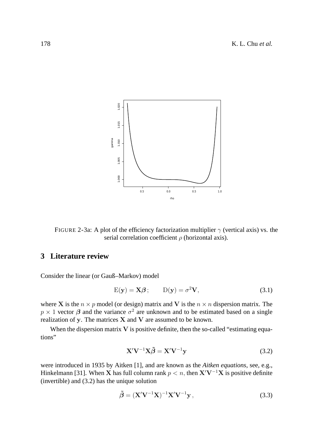

FIGURE 2-3a: A plot of the efficiency factorization multiplier  $\gamma$  (vertical axis) vs. the serial correlation coefficient  $\rho$  (horizontal axis).

# **3 Literature review**

Consider the linear (or Gauß–Markov) model

$$
E(y) = X\beta; \qquad D(y) = \sigma^2 V,\tag{3.1}
$$

where X is the  $n \times p$  model (or design) matrix and V is the  $n \times n$  dispersion matrix. The  $p \times 1$  vector  $\beta$  and the variance  $\sigma^2$  are unknown and to be estimated based on a single realization of y. The matrices  $X$  and  $V$  are assumed to be known.

When the dispersion matrix  $V$  is positive definite, then the so-called "estimating equations"

$$
\mathbf{X}'\mathbf{V}^{-1}\mathbf{X}\tilde{\boldsymbol{\beta}} = \mathbf{X}'\mathbf{V}^{-1}\mathbf{y}
$$
 (3.2)

were introduced in 1935 by Aitken [1], and are known as the *Aitken equations*, see, e.g., Hinkelmann [31]. When X has full column rank  $p < n$ , then  $X'V^{-1}X$  is positive definite (invertible) and (3.2) has the unique solution

$$
\tilde{\boldsymbol{\beta}} = (\mathbf{X}'\mathbf{V}^{-1}\mathbf{X})^{-1}\mathbf{X}'\mathbf{V}^{-1}\mathbf{y},\tag{3.3}
$$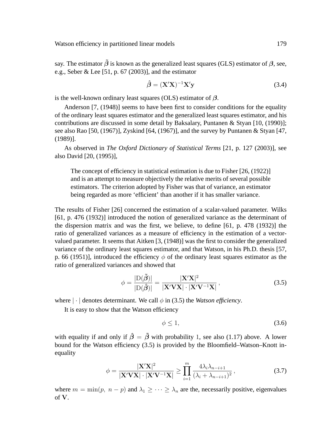say. The estimator  $\tilde{\beta}$  is known as the generalized least squares (GLS) estimator of  $\beta$ , see, e.g., Seber & Lee [51, p. 67 (2003)], and the estimator

$$
\hat{\boldsymbol{\beta}} = (\mathbf{X}'\mathbf{X})^{-1}\mathbf{X}'\mathbf{y} \tag{3.4}
$$

is the well-known ordinary least squares (OLS) estimator of  $\beta$ .

Anderson [7, (1948)] seems to have been first to consider conditions for the equality of the ordinary least squares estimator and the generalized least squares estimator, and his contributions are discussed in some detail by Baksalary, Puntanen & Styan [10, (1990)]; see also Rao [50, (1967)], Zyskind [64, (1967)], and the survey by Puntanen & Styan [47, (1989)].

As observed in *The Oxford Dictionary of Statistical Terms* [21, p. 127 (2003)], see also David [20, (1995)],

The concept of efficiency in statistical estimation is due to Fisher [26, (1922)] and is an attempt to measure objectively the relative merits of several possible estimators. The criterion adopted by Fisher was that of variance, an estimator being regarded as more 'efficient' than another if it has smaller variance.

The results of Fisher [26] concerned the estimation of a scalar-valued parameter. Wilks [61, p. 476 (1932)] introduced the notion of generalized variance as the determinant of the dispersion matrix and was the first, we believe, to define [61, p. 478 (1932)] the ratio of generalized variances as a measure of efficiency in the estimation of a vectorvalued parameter. It seems that Aitken [3, (1948)] was the first to consider the generalized variance of the ordinary least squares estimator, and that Watson, in his Ph.D. thesis [57, p. 66 (1951)], introduced the efficiency  $\phi$  of the ordinary least squares estimator as the ratio of generalized variances and showed that

$$
\phi = \frac{|\mathcal{D}(\tilde{\boldsymbol{\beta}})|}{|\mathcal{D}(\hat{\boldsymbol{\beta}})|} = \frac{|\mathbf{X}'\mathbf{X}|^2}{|\mathbf{X}'\mathbf{V}\mathbf{X}| \cdot |\mathbf{X}'\mathbf{V}^{-1}\mathbf{X}|},
$$
\n(3.5)

where  $|\cdot|$  denotes determinant. We call  $\phi$  in (3.5) the *Watson efficiency*.

It is easy to show that the Watson efficiency

$$
\phi \le 1,\tag{3.6}
$$

with equality if and only if  $\hat{\beta} = \tilde{\beta}$  with probability 1, see also (1.17) above. A lower bound for the Watson efficiency (3.5) is provided by the Bloomfield–Watson–Knott inequality

$$
\phi = \frac{|\mathbf{X}'\mathbf{X}|^2}{|\mathbf{X}'\mathbf{V}\mathbf{X}| \cdot |\mathbf{X}'\mathbf{V}^{-1}\mathbf{X}|} \ge \prod_{i=1}^m \frac{4\lambda_i \lambda_{n-i+1}}{(\lambda_i + \lambda_{n-i+1})^2},\tag{3.7}
$$

where  $m = \min(p, n - p)$  and  $\lambda_1 \geq \cdots \geq \lambda_n$  are the, necessarily positive, eigenvalues of V.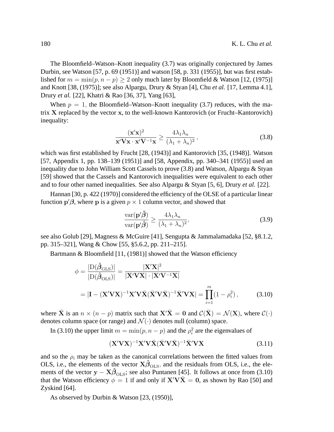The Bloomfield–Watson–Knott inequality (3.7) was originally conjectured by James Durbin, see Watson [57, p. 69 (1951)] and watson [58, p. 331 (1955)], but was first established for  $m = \min(p, n - p) \ge 2$  only much later by Bloomfield & Watson [12, (1975)] and Knott [38, (1975)]; see also Alpargu, Drury & Styan [4], Chu *et al.* [17, Lemma 4.1], Drury *et al.* [22], Khatri & Rao [36, 37], Yang [63],

When  $p = 1$ , the Bloomfield–Watson–Knott inequality (3.7) reduces, with the matrix X replaced by the vector x, to the well-known Kantorovich (or Frucht–Kantorovich) inequality:

$$
\frac{(\mathbf{x}'\mathbf{x})^2}{\mathbf{x}'\mathbf{V}\mathbf{x}\cdot\mathbf{x}'\mathbf{V}^{-1}\mathbf{x}} \ge \frac{4\lambda_1\lambda_n}{(\lambda_1 + \lambda_n)^2},
$$
\n(3.8)

which was first established by Frucht [28, (1943)] and Kantorovich [35, (1948)]. Watson [57, Appendix 1, pp. 138–139 (1951)] and [58, Appendix, pp. 340–341 (1955)] used an inequality due to John William Scott Cassels to prove (3.8) and Watson, Alpargu & Styan [59] showed that the Cassels and Kantorovich inequalities were equivalent to each other and to four other named inequalities. See also Alpargu & Styan [5, 6], Drury *et al.* [22].

Hannan [30, p. 422 (1970)] considered the efficiency of the OLSE of a particular linear function  $\mathbf{p}'\boldsymbol{\beta}$ , where p is a given  $p \times 1$  column vector, and showed that

$$
\frac{\text{var}(\mathbf{p}'\tilde{\boldsymbol{\beta}})}{\text{var}(\mathbf{p}'\hat{\boldsymbol{\beta}})} \ge \frac{4\lambda_1\lambda_n}{(\lambda_1 + \lambda_n)^2},\tag{3.9}
$$

see also Golub [29], Magness & McGuire [41], Sengupta & Jammalamadaka [52, §8.1.2, pp. 315–321], Wang & Chow [55, §5.6.2, pp. 211–215].

Bartmann & Bloomfield [11, (1981)] showed that the Watson efficiency

$$
\phi = \frac{|\mathcal{D}(\hat{\beta}_{\text{GLS}})|}{|\mathcal{D}(\hat{\beta}_{\text{OLS}})|} = \frac{|\mathbf{X}'\mathbf{X}|^2}{|\mathbf{X}'\mathbf{V}\mathbf{X}| \cdot |\mathbf{X}'\mathbf{V}^{-1}\mathbf{X}|}
$$
  
=  $|\mathbf{I} - (\mathbf{X}'\mathbf{V}\mathbf{X})^{-1}\mathbf{X}'\mathbf{V}\bar{\mathbf{X}}(\bar{\mathbf{X}}'\mathbf{V}\bar{\mathbf{X}})^{-1}\bar{\mathbf{X}}'\mathbf{V}\mathbf{X}| = \prod_{i=1}^{m} (1 - \rho_i^2),$  (3.10)

where  $\bar{\mathbf{X}}$  is an  $n \times (n-p)$  matrix such that  $\mathbf{X}'\bar{\mathbf{X}} = \mathbf{0}$  and  $\mathcal{C}(\bar{\mathbf{X}}) = \mathcal{N}(\mathbf{X})$ , where  $\mathcal{C}(\cdot)$ denotes column space (or range) and  $\mathcal{N}(\cdot)$  denotes null (column) space.

In (3.10) the upper limit  $m = \min(p, n - p)$  and the  $\rho_i^2$  are the eigenvalues of

$$
(\mathbf{X}'\mathbf{V}\mathbf{X})^{-1}\mathbf{X}'\mathbf{V}\bar{\mathbf{X}}(\bar{\mathbf{X}}'\mathbf{V}\bar{\mathbf{X}})^{-1}\bar{\mathbf{X}}'\mathbf{V}\mathbf{X}
$$
 (3.11)

and so the  $\rho_i$  may be taken as the canonical correlations between the fitted values from OLS, i.e., the elements of the vector  $X\hat{\beta}_{OLS}$ , and the residuals from OLS, i.e., the elements of the vector  $y - X\hat{\beta}_{OLS}$ ; see also Puntanen [45]. It follows at once from (3.10) that the Watson efficiency  $\phi = 1$  if and only if  $X'V\overline{X} = 0$ , as shown by Rao [50] and Zyskind [64].

As observed by Durbin & Watson [23, (1950)],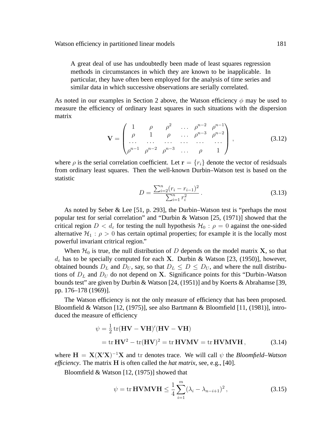A great deal of use has undoubtedly been made of least squares regression methods in circumstances in which they are known to be inapplicable. In particular, they have often been employed for the analysis of time series and similar data in which successive observations are serially correlated.

As noted in our examples in Section 2 above, the Watson efficiency  $\phi$  may be used to measure the efficiency of ordinary least squares in such situations with the dispersion matrix

$$
\mathbf{V} = \begin{pmatrix} 1 & \rho & \rho^2 & \dots & \rho^{n-2} & \rho^{n-1} \\ \rho & 1 & \rho & \dots & \rho^{n-3} & \rho^{n-2} \\ \dots & \dots & \dots & \dots & \dots & \dots \\ \rho^{n-1} & \rho^{n-2} & \rho^{n-3} & \dots & \rho & 1 \end{pmatrix},
$$
(3.12)

where  $\rho$  is the serial correlation coefficient. Let  $\mathbf{r} = \{r_i\}$  denote the vector of residsuals from ordinary least squares. Then the well-known Durbin–Watson test is based on the statistic

$$
D = \frac{\sum_{i=2}^{n} (r_i - r_{i-1})^2}{\sum_{i=1}^{n} r_i^2}.
$$
\n(3.13)

As noted by Seber & Lee [51, p. 293], the Durbin–Watson test is "perhaps the most popular test for serial correlation" and "Durbin & Watson [25, (1971)] showed that the critical region  $D < d_{\varepsilon}$  for testing the null hypothesis  $\mathcal{H}_0$ :  $\rho = 0$  against the one-sided alternative  $H_1$ :  $\rho > 0$  has certain optimal properties; for example it is the locally most powerful invariant critrical region."

When  $\mathcal{H}_0$  is true, the null distribution of D depends on the model matrix **X**, so that  $d_{\varepsilon}$  has to be specially computed for each X. Durbin & Watson [23, (1950)], however, obtained bounds  $D_L$  and  $D_U$ , say, so that  $D_L \leq D \leq D_U$ , and where the null distributions of  $D<sub>L</sub>$  and  $D<sub>U</sub>$  do not depend on X. Significance points for this "Durbin–Watson bounds test" are given by Durbin & Watson [24, (1951)] and by Koerts & Abrahamse [39, pp. 176–178 (1969)].

The Watson efficiency is not the only measure of efficiency that has been proposed. Bloomfield & Watson [12, (1975)], see also Bartmann & Bloomfield [11, (1981)], introduced the measure of efficiency

$$
\psi = \frac{1}{2} \text{tr}(\mathbf{HV} - \mathbf{V}\mathbf{H})'(\mathbf{HV} - \mathbf{V}\mathbf{H})
$$
  
= tr  $\mathbf{HV}^2 - \text{tr}(\mathbf{HV})^2 = \text{tr}\mathbf{HV}\mathbf{MV} = \text{tr}\mathbf{HV}\mathbf{MV}\mathbf{H},$  (3.14)

where  $H = X(X'X)^{-1}X$  and tr denotes trace. We will call  $\psi$  the *Bloomfield–Watson efficiency*. The matrix H is often called the *hat matrix*, see, e.g., [40].

Bloomfield & Watson [12, (1975)] showed that

$$
\psi = \text{tr}\,\mathbf{HVMVH} \leq \frac{1}{4} \sum_{i=1}^{m} (\lambda_i - \lambda_{n-i+1})^2, \qquad (3.15)
$$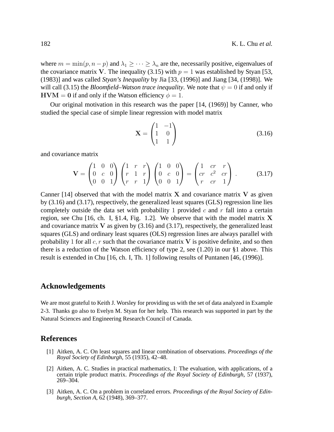where  $m = \min(p, n - p)$  and  $\lambda_1 \geq \cdots \geq \lambda_n$  are the, necessarily positive, eigenvalues of the covariance matrix V. The inequality (3.15) with  $p = 1$  was established by Styan [53, (1983)] and was called *Styan's Inequality* by Jia [33, (1996)] and Jiang [34, (1998)]. We will call (3.15) the *Bloomfield–Watson trace inequality*. We note that  $\psi = 0$  if and only if  $HVM = 0$  if and only if the Watson efficiency  $\phi = 1$ .

Our original motivation in this research was the paper [14, (1969)] by Canner, who studied the special case of simple linear regression with model matrix

$$
\mathbf{X} = \begin{pmatrix} 1 & -1 \\ 1 & 0 \\ 1 & 1 \end{pmatrix} \tag{3.16}
$$

and covariance matrix

$$
\mathbf{V} = \begin{pmatrix} 1 & 0 & 0 \\ 0 & c & 0 \\ 0 & 0 & 1 \end{pmatrix} \begin{pmatrix} 1 & r & r \\ r & 1 & r \\ r & r & 1 \end{pmatrix} \begin{pmatrix} 1 & 0 & 0 \\ 0 & c & 0 \\ 0 & 0 & 1 \end{pmatrix} = \begin{pmatrix} 1 & cr & r \\ cr & c^2 & cr \\ r & cr & 1 \end{pmatrix} . \tag{3.17}
$$

Canner  $[14]$  observed that with the model matrix X and covariance matrix V as given by (3.16) and (3.17), respectively, the generalized least squares (GLS) regression line lies completely outside the data set with probability 1 provided  $c$  and  $r$  fall into a certain region, see Chu  $[16, ch. I, §1.4, Fig. 1.2]$ . We observe that with the model matrix X and covariance matrix  $V$  as given by  $(3.16)$  and  $(3.17)$ , respectively, the generalized least squares (GLS) and ordinary least squares (OLS) regression lines are always parallel with probability 1 for all  $c, r$  such that the covariance matrix V is positive definite, and so then there is a reduction of the Watson efficiency of type 2, see  $(1.20)$  in our §1 above. This result is extended in Chu [16, ch. I, Th. 1] following results of Puntanen [46, (1996)].

#### **Acknowledgements**

We are most grateful to Keith J. Worsley for providing us with the set of data analyzed in Example 2-3. Thanks go also to Evelyn M. Styan for her help. This research was supported in part by the Natural Sciences and Engineering Research Council of Canada.

#### **References**

- [1] Aitken, A. C. On least squares and linear combination of observations. *Proceedings of the Royal Society of Edinburgh*, 55 (1935), 42–48.
- [2] Aitken, A. C. Studies in practical mathematics, I: The evaluation, with applications, of a certain triple product matrix. *Proceedings of the Royal Society of Edinburgh*, 57 (1937), 269–304.
- [3] Aitken, A. C. On a problem in correlated errors. *Proceedings of the Royal Society of Edinburgh, Section A*, 62 (1948), 369–377.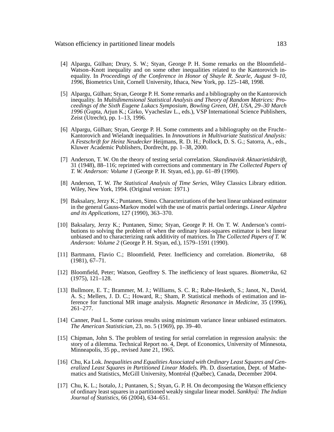- [4] Alpargu, Gülhan; Drury, S. W.; Styan, George P. H. Some remarks on the Bloomfield– Watson–Knott inequality and on some other inequalities related to the Kantorovich inequality. In *Proceedings of the Conference in Honor of Shayle R. Searle, August 9–10, 1996*, Biometrics Unit, Cornell University, Ithaca, New York, pp. 125–148, 1998.
- [5] Alpargu, Gülhan; Styan, George P. H. Some remarks and a bibliography on the Kantorovich inequality. In *Multidimensional Statistical Analysis and Theory of Random Matrices: Proceedings of the Sixth Eugene Lukacs Symposium, Bowling Green, OH, USA, 29–30 March 1996* (Gupta, Arjun K.; Girko, Vyacheslav L., eds.), VSP International Science Publishers, Zeist (Utrecht), pp. 1–13, 1996.
- [6] Alpargu, Gülhan; Styan, George P. H. Some comments and a bibliography on the Frucht– Kantorovich and Wielandt inequalities. In *Innovations in Multivariate Statistical Analysis: A Festschrift for Heinz Neudecker* Heijmans, R. D. H.; Pollock, D. S. G.; Satorra, A., eds., Kluwer Academic Publishers, Dordrecht, pp. 1–38, 2000.
- [7] Anderson, T. W. On the theory of testing serial correlation. *Skandinavisk Aktuarietidskrift*, 31 (1948), 88–116; reprinted with corrections and commentary in *The Collected Papers of T. W. Anderson: Volume 1* (George P. H. Styan, ed.), pp. 61–89 (1990).
- [8] Anderson, T. W. *The Statistical Analysis of Time Series*, Wiley Classics Library edition. Wiley, New York, 1994. (Original version: 1971.)
- [9] Baksalary, Jerzy K.; Puntanen, Simo. Characterizations of the best linear unbiased estimator in the general Gauss-Markov model with the use of matrix partial orderings. *Linear Algebra and its Applications*, 127 (1990), 363–370.
- [10] Baksalary, Jerzy K.; Puntanen, Simo; Styan, George P. H. On T. W. Anderson's contributions to solving the problem of when the ordinary least-squares estimator is best linear unbiased and to characterizing rank additivity of matrices. In *The Collected Papers of T. W. Anderson: Volume 2* (George P. H. Styan, ed.), 1579–1591 (1990).
- [11] Bartmann, Flavio C.; Bloomfield, Peter. Inefficiency and correlation. *Biometrika*, 68 (1981), 67–71.
- [12] Bloomfield, Peter; Watson, Geoffrey S. The inefficiency of least squares. *Biometrika*, 62 (1975), 121–128.
- [13] Bullmore, E. T.; Brammer, M. J.; Williams, S. C. R.; Rabe-Hesketh, S.; Janot, N., David, A. S.; Mellers, J. D. C.; Howard, R.; Sham, P. Statistical methods of estimation and inference for functional MR image analysis. *Magnetic Resonance in Medicine*, 35 (1996), 261–277.
- [14] Canner, Paul L. Some curious results using minimum variance linear unbiased estimators. *The American Statistician*, 23, no. 5 (1969), pp. 39–40.
- [15] Chipman, John S. The problem of testing for serial correlation in regression analysis: the story of a dilemma. Technical Report no. 4, Dept. of Economics, University of Minnesota, Minneapolis, 35 pp., revised June 21, 1965.
- [16] Chu, Ka Lok. *Inequalities and Equalities Associated with Ordinary Least Squares and Generalized Least Squares in Partitioned Linear Models.* Ph. D. dissertation, Dept. of Mathematics and Statistics, McGill University, Montréal (Québec), Canada, December 2004.
- [17] Chu, K. L.; Isotalo, J.; Puntanen, S.; Styan, G. P. H. On decomposing the Watson efficiency of ordinary least squares in a partitioned weakly singular linear model. *Sankhya: The Indian ¯ Journal of Statistics*, 66 (2004), 634–651.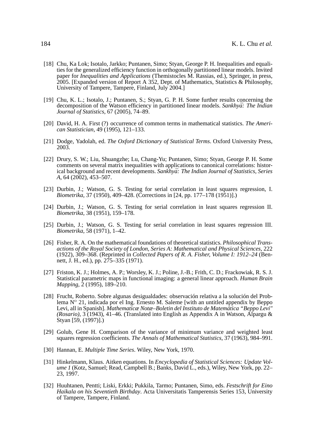- [18] Chu, Ka Lok; Isotalo, Jarkko; Puntanen, Simo; Styan, George P. H. Inequalities and equalities for the generalized efficiency function in orthogonally partitioned linear models. Invited paper for *Inequalities and Applications* (Themistocles M. Rassias, ed.), Springer, in press, 2005. [Expanded version of Report A 352, Dept. of Mathematics, Statistics & Philosophy, University of Tampere, Tampere, Finland, July 2004.]
- [19] Chu, K. L.; Isotalo, J.; Puntanen, S.; Styan, G. P. H. Some further results concerning the decomposition of the Watson efficiency in partitioned linear models. *Sankhyā: The Indian Journal of Statistics*, 67 (2005), 74–89.
- [20] David, H. A. First (?) occurrence of common terms in mathematical statistics. *The American Statistician*, 49 (1995), 121–133.
- [21] Dodge, Yadolah, ed. *The Oxford Dictionary of Statistical Terms*. Oxford University Press, 2003.
- [22] Drury, S. W.; Liu, Shuangzhe; Lu, Chang-Yu; Puntanen, Simo; Styan, George P. H. Some comments on several matrix inequalities with applications to canonical correlations: historical background and recent developments. *Sankhya: The Indian Journal of Statistics, Series ¯ A*, 64 (2002), 453–507.
- [23] Durbin, J.; Watson, G. S. Testing for serial correlation in least squares regression, I. *Biometrika*, 37 (1950), 409–428. (Corrections in [24, pp. 177–178 (1951)].)
- [24] Durbin, J.; Watson, G. S. Testing for serial correlation in least squares regression II. *Biometrika*, 38 (1951), 159–178.
- [25] Durbin, J.; Watson, G. S. Testing for serial correlation in least squares regression III. *Biometrika*, 58 (1971), 1–42.
- [26] Fisher, R. A. On the mathematical foundations of theoretical statistics. *Philosophical Transactions of the Royal Society of London, Series A: Mathematical and Physical Sciences*, 222 (1922), 309–368. (Reprinted in *Collected Papers of R. A. Fisher, Volume I: 1912–24* (Bennett, J. H., ed.), pp. 275–335 (1971).
- [27] Friston, K. J.; Holmes, A. P.; Worsley, K. J.; Poline, J.-B.; Frith, C. D.; Frackowiak, R. S. J. Statistical parametric maps in functional imaging: a general linear approach. *Human Brain Mapping*, 2 (1995), 189–210.
- [28] Frucht, Roberto. Sobre algunas desigualdades: observación relativa a la solución del Problema  $N^{\circ}$  21, indicada por el Ing. Ernesto M. Saleme [with an untitled appendix by Beppo Levi, all in Spanish]. *Mathematicæ Notæ–Boletin del Instituto de Matemática "Beppo Levi" (Rosario)*, 3 (1943), 41–46. (Translated into English as Appendix A in Watson, Alpargu & Styan [59, (1997)].)
- [29] Golub, Gene H. Comparison of the variance of minimum variance and weighted least squares regression coefficients. *The Annals of Mathematical Statistics*, 37 (1963), 984–991.
- [30] Hannan, E. *Multiple Time Series*. Wiley, New York, 1970.
- [31] Hinkelmann, Klaus. Aitken equations. In *Encyclopedia of Statistical Sciences: Update Volume 1* (Kotz, Samuel; Read, Campbell B.; Banks, David L., eds.), Wiley, New York, pp. 22– 23, 1997.
- [32] Huuhtanen, Pentti; Liski, Erkki; Pukkila, Tarmo; Puntanen, Simo, eds. *Festschrift for Eino Haikala on his Seventieth Birthday*. Acta Universitatis Tamperensis Series 153, University of Tampere, Tampere, Finland.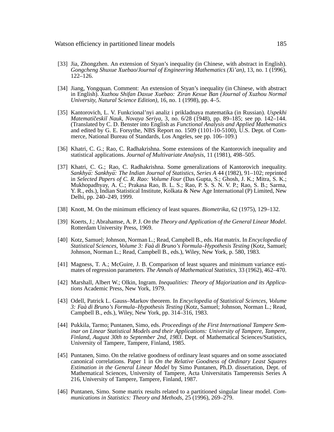- [33] Jia, Zhongzhen. An extension of Styan's inequality (in Chinese, with abstract in English). *Gongcheng Shuxue Xuebao/Journal of Engineering Mathematics (Xi'an)*, 13, no. 1 (1996), 122–126.
- [34] Jiang, Yongquan. Comment: An extension of Styan's inequality (in Chinese, with abstract in English). *Xuzhou Shifan Daxue Xuebao: Ziran Kexue Ban (Journal of Xuzhou Normal University, Natural Science Edition)*, 16, no. 1 (1998), pp. 4–5.
- [35] Kantorovich, L. V. Funkcional'nyi analiz i prikladnaya matematika (in Russian). *Uspekhi Matematiˇceski˘ı Nauk, Novaya Seriya*, 3, no. 6/28 (1948), pp. 89–185; see pp. 142–144. (Translated by C. D. Benster into English as *Functional Analysis and Applied Mathematics* and edited by G. E. Forsythe, NBS Report no. 1509 (1101-10-5100), U.S. Dept. of Commerce, National Bureau of Standards, Los Angeles, see pp. 106–109.)
- [36] Khatri, C. G.; Rao, C. Radhakrishna. Some extensions of the Kantorovich inequality and statistical applications. *Journal of Multivariate Analysis*, 11 (1981), 498–505.
- [37] Khatri, C. G.; Rao, C. Radhakrishna. Some generalizations of Kantorovich inequality. *Sankhyā: Sankhyā: The Indian Journal of Statistics, Series A 44 (1982), 91-102; reprinted* in *Selected Papers of C. R. Rao: Volume Four* (Das Gupta, S.; Ghosh, J. K.; Mitra, S. K.; Mukhopadhyay, A. C.; Prakasa Rao, B. L. S.; Rao, P. S. S. N. V. P.; Rao, S. B.; Sarma, Y. R., eds.), Indian Statistical Institute, Kolkata & New Age International (P) Limited, New Delhi, pp. 240–249, 1999.
- [38] Knott, M. On the minimum efficiency of least squares. *Biometrika*, 62 (1975), 129–132.
- [39] Koerts, J.; Abrahamse, A. P. J. *On the Theory and Application of the General Linear Model*. Rotterdam University Press, 1969.
- [40] Kotz, Samuel; Johnson, Norman L.; Read, Campbell B., eds. Hat matrix. In *Encyclopedia of Statistical Sciences, Volume 3: Faà di Bruno's Formula–Hypothesis Testing* (Kotz, Samuel; Johnson, Norman L.; Read, Campbell B., eds.), Wiley, New York, p. 580, 1983.
- [41] Magness, T. A.; McGuire, J. B. Comparison of least squares and minimum variance estimates of regression parameters. *The Annals of Mathematical Statistics*, 33 (1962), 462–470.
- [42] Marshall, Albert W.; Olkin, Ingram. *Inequalities: Theory of Majorization and its Applications* Academic Press, New York, 1979.
- [43] Odell, Patrick L. Gauss–Markov theorem. In *Encyclopedia of Statistical Sciences, Volume 3: Faà di Bruno's Formula–Hypothesis Testing* (Kotz, Samuel; Johnson, Norman L.; Read, Campbell B., eds.), Wiley, New York, pp. 314–316, 1983.
- [44] Pukkila, Tarmo; Puntanen, Simo, eds. *Proceedings of the First International Tampere Seminar on Linear Statistical Models and their Applications: University of Tampere, Tampere, Finland, August 30th to September 2nd, 1983*. Dept. of Mathematical Sciences/Statistics, University of Tampere, Tampere, Finland, 1985.
- [45] Puntanen, Simo. On the relative goodness of ordinary least squares and on some associated canonical correlations. Paper 1 in *On the Relative Goodness of Ordinary Least Squares Estimation in the General Linear Model* by Simo Puntanen, Ph.D. dissertation, Dept. of Mathematical Sciences, University of Tampere, Acta Universitatis Tamperensis Series A 216, University of Tampere, Tampere, Finland, 1987.
- [46] Puntanen, Simo. Some matrix results related to a partitioned singular linear model. *Communications in Statistics: Theory and Methods*, 25 (1996), 269–279.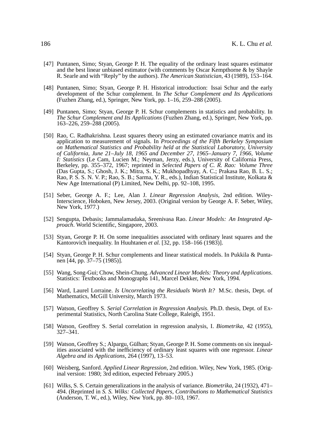- [47] Puntanen, Simo; Styan, George P. H. The equality of the ordinary least squares estimator and the best linear unbiased estimator (with comments by Oscar Kempthorne & by Shayle R. Searle and with "Reply" by the authors). *The American Statistician*, 43 (1989), 153–164.
- [48] Puntanen, Simo; Styan, George P. H. Historical introduction: Issai Schur and the early development of the Schur complement. In *The Schur Complement and Its Applications* (Fuzhen Zhang, ed.), Springer, New York, pp. 1–16, 259–288 (2005).
- [49] Puntanen, Simo; Styan, George P. H. Schur complements in statistics and probability. In *The Schur Complement and Its Applications* (Fuzhen Zhang, ed.), Springer, New York, pp. 163–226, 259–288 (2005).
- [50] Rao, C. Radhakrishna. Least squares theory using an estimated covariance matrix and its application to measurement of signals. In *Proceedings of the Fifth Berkeley Symposium on Mathematical Statistics and Probability held at the Statistical Laboratory, University of California, June 21–July 18, 1965 and December 27, 1965–January 7, 1966, Volume I: Statistics* (Le Cam, Lucien M.; Neyman, Jerzy, eds.), University of California Press, Berkeley, pp. 355–372, 1967; reprinted in *Selected Papers of C. R. Rao: Volume Three* (Das Gupta, S.; Ghosh, J. K.; Mitra, S. K.; Mukhopadhyay, A. C.; Prakasa Rao, B. L. S.; Rao, P. S. S. N. V. P.; Rao, S. B.; Sarma, Y. R., eds.), Indian Statistical Institute, Kolkata & New Age International (P) Limited, New Delhi, pp. 92–108, 1995.
- [51] Seber, George A. F.; Lee, Alan J. *Linear Regression Analysis*, 2nd edition. Wiley-Interscience, Hoboken, New Jersey, 2003. (Original version by George A. F. Seber, Wiley, New York, 1977.)
- [52] Sengupta, Debasis; Jammalamadaka, Sreenivasa Rao. *Linear Models: An Integrated Approach*. World Scientific, Singapore, 2003.
- [53] Styan, George P. H. On some inequalities associated with ordinary least squares and the Kantorovich inequality. In Huuhtanen *et al.* [32, pp. 158–166 (1983)].
- [54] Styan, George P. H. Schur complements and linear statistical models. In Pukkila & Puntanen [44, pp. 37–75 (1985)].
- [55] Wang, Song-Gui; Chow, Shein-Chung. *Advanced Linear Models: Theory and Applications*. Statistics: Textbooks and Monographs 141, Marcel Dekker, New York, 1994.
- [56] Ward, Laurel Lorraine. *Is Uncorrelating the Residuals Worth It?* M.Sc. thesis, Dept. of Mathematics, McGill University, March 1973.
- [57] Watson, Geoffrey S. *Serial Correlation in Regression Analysis.* Ph.D. thesis, Dept. of Experimental Statistics, North Carolina State College, Raleigh, 1951.
- [58] Watson, Geoffrey S. Serial correlation in regression analysis, I. *Biometrika*, 42 (1955), 327–341.
- [59] Watson, Geoffrey S.; Alpargu, Gülhan; Styan, George P. H. Some comments on six inequalities associated with the inefficiency of ordinary least squares with one regressor. *Linear Algebra and its Applications*, 264 (1997), 13–53.
- [60] Weisberg, Sanford. *Applied Linear Regression*, 2nd edition. Wiley, New York, 1985. (Original version: 1980; 3rd edition, expected February 2005.)
- [61] Wilks, S. S. Certain generalizations in the analysis of variance. *Biometrika*, 24 (1932), 471– 494. (Reprinted in *S. S. Wilks: Collected Papers, Contributions to Mathematical Statistics* (Anderson, T. W., ed.), Wiley, New York, pp. 80–103, 1967.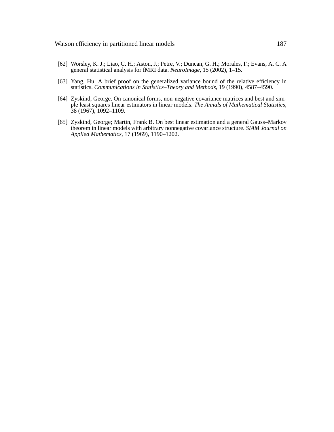- [62] Worsley, K. J.; Liao, C. H.; Aston, J.; Petre, V.; Duncan, G. H.; Morales, F.; Evans, A. C. A general statistical analysis for fMRI data. *NeuroImage*, 15 (2002), 1–15.
- [63] Yang, Hu. A brief proof on the generalized variance bound of the relative efficiency in statistics. *Communications in Statistics–Theory and Methods*, 19 (1990), 4587–4590.
- [64] Zyskind, George. On canonical forms, non-negative covariance matrices and best and simple least squares linear estimators in linear models. *The Annals of Mathematical Statistics*, 38 (1967), 1092–1109.
- [65] Zyskind, George; Martin, Frank B. On best linear estimation and a general Gauss–Markov theorem in linear models with arbitrary nonnegative covariance structure. *SIAM Journal on Applied Mathematics*, 17 (1969), 1190–1202.